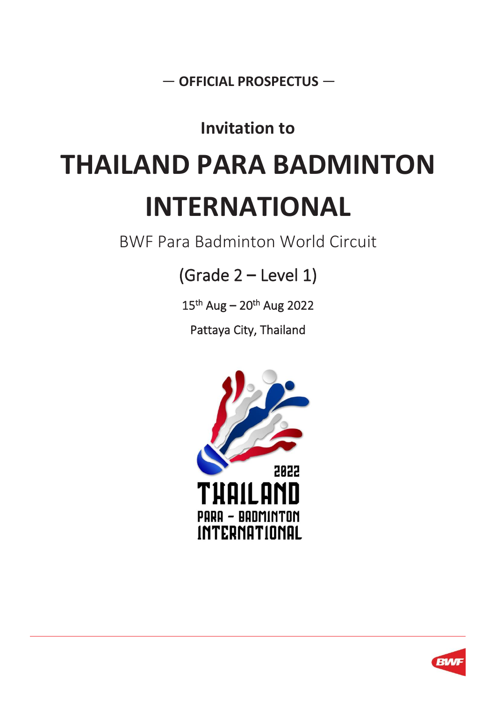— **OFFICIAL PROSPECTUS** —

# **Invitation to**

# **THAILAND PARA BADMINTON INTERNATIONAL**

BWF Para Badminton World Circuit

(Grade 2 **–** Level 1)

15 th Aug **–** 20th Aug 2022

Pattaya City, Thailand



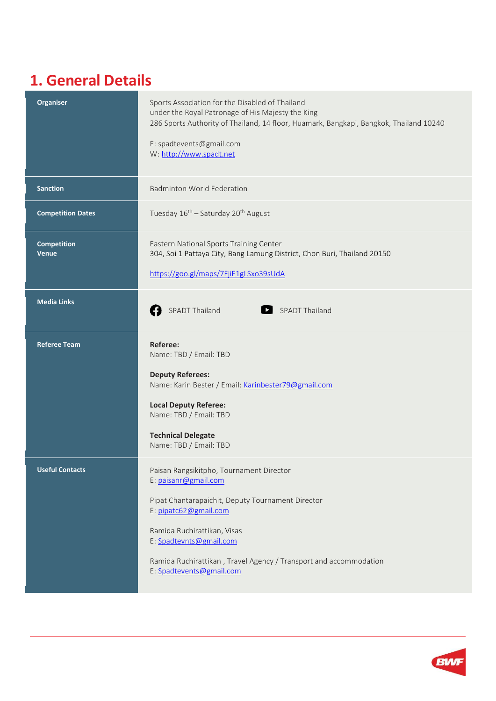### **1. General Details**

| Organiser                          | Sports Association for the Disabled of Thailand<br>under the Royal Patronage of His Majesty the King<br>286 Sports Authority of Thailand, 14 floor, Huamark, Bangkapi, Bangkok, Thailand 10240<br>E: spadtevents@gmail.com<br>W: http://www.spadt.net                                                     |
|------------------------------------|-----------------------------------------------------------------------------------------------------------------------------------------------------------------------------------------------------------------------------------------------------------------------------------------------------------|
| <b>Sanction</b>                    | <b>Badminton World Federation</b>                                                                                                                                                                                                                                                                         |
| <b>Competition Dates</b>           | Tuesday 16 <sup>th</sup> - Saturday 20 <sup>th</sup> August                                                                                                                                                                                                                                               |
| <b>Competition</b><br><b>Venue</b> | Eastern National Sports Training Center<br>304, Soi 1 Pattaya City, Bang Lamung District, Chon Buri, Thailand 20150<br>https://goo.gl/maps/7FjiE1gLSxo39sUdA                                                                                                                                              |
| <b>Media Links</b>                 | <b>SPADT Thailand</b><br>SPADT Thailand                                                                                                                                                                                                                                                                   |
| <b>Referee Team</b>                | Referee:<br>Name: TBD / Email: TBD<br><b>Deputy Referees:</b><br>Name: Karin Bester / Email: Karinbester79@gmail.com<br><b>Local Deputy Referee:</b><br>Name: TBD / Email: TBD<br><b>Technical Delegate</b><br>Name: TBD / Email: TBD                                                                     |
| <b>Useful Contacts</b>             | Paisan Rangsikitpho, Tournament Director<br>E: paisanr@gmail.com<br>Pipat Chantarapaichit, Deputy Tournament Director<br>E: pipatc62@gmail.com<br>Ramida Ruchirattikan, Visas<br>E: Spadtevnts@gmail.com<br>Ramida Ruchirattikan, Travel Agency / Transport and accommodation<br>E: Spadtevents@gmail.com |

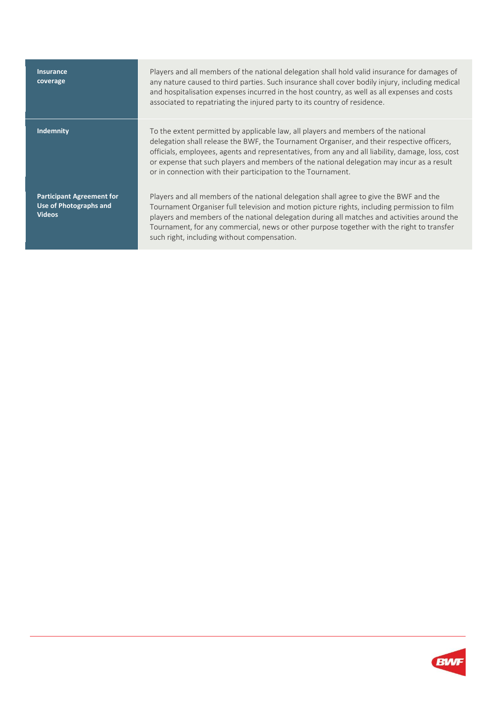| <b>Insurance</b><br>coverage                                                | Players and all members of the national delegation shall hold valid insurance for damages of<br>any nature caused to third parties. Such insurance shall cover bodily injury, including medical<br>and hospitalisation expenses incurred in the host country, as well as all expenses and costs<br>associated to repatriating the injured party to its country of residence.                                                                      |
|-----------------------------------------------------------------------------|---------------------------------------------------------------------------------------------------------------------------------------------------------------------------------------------------------------------------------------------------------------------------------------------------------------------------------------------------------------------------------------------------------------------------------------------------|
| <b>Indemnity</b>                                                            | To the extent permitted by applicable law, all players and members of the national<br>delegation shall release the BWF, the Tournament Organiser, and their respective officers,<br>officials, employees, agents and representatives, from any and all liability, damage, loss, cost<br>or expense that such players and members of the national delegation may incur as a result<br>or in connection with their participation to the Tournament. |
| <b>Participant Agreement for</b><br>Use of Photographs and<br><b>Videos</b> | Players and all members of the national delegation shall agree to give the BWF and the<br>Tournament Organiser full television and motion picture rights, including permission to film<br>players and members of the national delegation during all matches and activities around the<br>Tournament, for any commercial, news or other purpose together with the right to transfer<br>such right, including without compensation.                 |

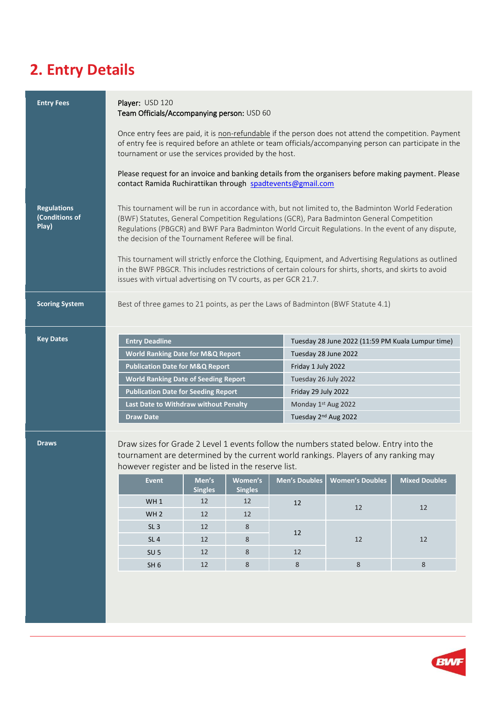# **2. Entry Details**

| <b>Entry Fees</b>                             | Player: USD 120<br>Team Officials/Accompanying person: USD 60                                                                                                                                                                                                                                                                                                                                                                                                                                                                                                                                                                                         |                         |                           |  |                      |                                                   |                      |
|-----------------------------------------------|-------------------------------------------------------------------------------------------------------------------------------------------------------------------------------------------------------------------------------------------------------------------------------------------------------------------------------------------------------------------------------------------------------------------------------------------------------------------------------------------------------------------------------------------------------------------------------------------------------------------------------------------------------|-------------------------|---------------------------|--|----------------------|---------------------------------------------------|----------------------|
|                                               | Once entry fees are paid, it is non-refundable if the person does not attend the competition. Payment<br>of entry fee is required before an athlete or team officials/accompanying person can participate in the<br>tournament or use the services provided by the host.                                                                                                                                                                                                                                                                                                                                                                              |                         |                           |  |                      |                                                   |                      |
|                                               | Please request for an invoice and banking details from the organisers before making payment. Please<br>contact Ramida Ruchirattikan through spadtevents@gmail.com                                                                                                                                                                                                                                                                                                                                                                                                                                                                                     |                         |                           |  |                      |                                                   |                      |
| <b>Regulations</b><br>(Conditions of<br>Play) | This tournament will be run in accordance with, but not limited to, the Badminton World Federation<br>(BWF) Statutes, General Competition Regulations (GCR), Para Badminton General Competition<br>Regulations (PBGCR) and BWF Para Badminton World Circuit Regulations. In the event of any dispute,<br>the decision of the Tournament Referee will be final.<br>This tournament will strictly enforce the Clothing, Equipment, and Advertising Regulations as outlined<br>in the BWF PBGCR. This includes restrictions of certain colours for shirts, shorts, and skirts to avoid<br>issues with virtual advertising on TV courts, as per GCR 21.7. |                         |                           |  |                      |                                                   |                      |
| <b>Scoring System</b>                         | Best of three games to 21 points, as per the Laws of Badminton (BWF Statute 4.1)                                                                                                                                                                                                                                                                                                                                                                                                                                                                                                                                                                      |                         |                           |  |                      |                                                   |                      |
| <b>Key Dates</b>                              | <b>Entry Deadline</b>                                                                                                                                                                                                                                                                                                                                                                                                                                                                                                                                                                                                                                 |                         |                           |  |                      | Tuesday 28 June 2022 (11:59 PM Kuala Lumpur time) |                      |
|                                               | <b>World Ranking Date for M&amp;Q Report</b>                                                                                                                                                                                                                                                                                                                                                                                                                                                                                                                                                                                                          |                         |                           |  | Tuesday 28 June 2022 |                                                   |                      |
|                                               | <b>Publication Date for M&amp;Q Report</b>                                                                                                                                                                                                                                                                                                                                                                                                                                                                                                                                                                                                            |                         |                           |  |                      |                                                   |                      |
|                                               | <b>World Ranking Date of Seeding Report</b>                                                                                                                                                                                                                                                                                                                                                                                                                                                                                                                                                                                                           |                         |                           |  | Friday 1 July 2022   |                                                   |                      |
|                                               |                                                                                                                                                                                                                                                                                                                                                                                                                                                                                                                                                                                                                                                       |                         |                           |  | Tuesday 26 July 2022 |                                                   |                      |
|                                               | <b>Publication Date for Seeding Report</b>                                                                                                                                                                                                                                                                                                                                                                                                                                                                                                                                                                                                            |                         |                           |  | Friday 29 July 2022  |                                                   |                      |
|                                               | Last Date to Withdraw without Penalty                                                                                                                                                                                                                                                                                                                                                                                                                                                                                                                                                                                                                 |                         |                           |  | Monday 1st Aug 2022  |                                                   |                      |
|                                               | <b>Draw Date</b>                                                                                                                                                                                                                                                                                                                                                                                                                                                                                                                                                                                                                                      |                         |                           |  | Tuesday 2nd Aug 2022 |                                                   |                      |
| <b>Draws</b>                                  | Draw sizes for Grade 2 Level 1 events follow the numbers stated below. Entry into the<br>tournament are determined by the current world rankings. Players of any ranking may<br>however register and be listed in the reserve list.                                                                                                                                                                                                                                                                                                                                                                                                                   |                         |                           |  |                      |                                                   |                      |
|                                               | <b>Event</b>                                                                                                                                                                                                                                                                                                                                                                                                                                                                                                                                                                                                                                          | Men's<br><b>Singles</b> | Women's<br><b>Singles</b> |  | <b>Men's Doubles</b> | <b>Women's Doubles</b>                            | <b>Mixed Doubles</b> |
|                                               | WH <sub>1</sub>                                                                                                                                                                                                                                                                                                                                                                                                                                                                                                                                                                                                                                       | 12                      | 12                        |  | 12                   |                                                   |                      |
|                                               | WH <sub>2</sub>                                                                                                                                                                                                                                                                                                                                                                                                                                                                                                                                                                                                                                       | 12                      | 12                        |  |                      | 12                                                | 12                   |
|                                               | SL <sub>3</sub>                                                                                                                                                                                                                                                                                                                                                                                                                                                                                                                                                                                                                                       | 12                      | 8                         |  |                      |                                                   |                      |
|                                               | SL <sub>4</sub>                                                                                                                                                                                                                                                                                                                                                                                                                                                                                                                                                                                                                                       | 12                      | 8                         |  | 12                   | 12                                                | 12                   |

SH 6 12 8 8 8 8 8

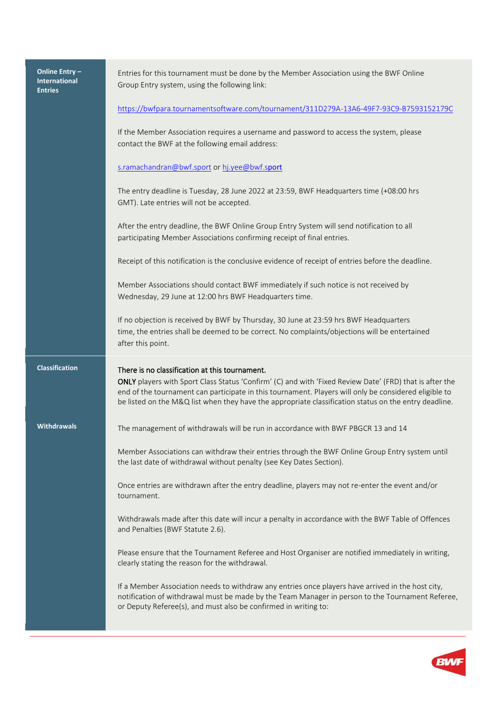| Online Entry-<br><b>International</b><br><b>Entries</b> | Entries for this tournament must be done by the Member Association using the BWF Online<br>Group Entry system, using the following link:                                                                                                                                                                                                                                    |
|---------------------------------------------------------|-----------------------------------------------------------------------------------------------------------------------------------------------------------------------------------------------------------------------------------------------------------------------------------------------------------------------------------------------------------------------------|
|                                                         | https://bwfpara.tournamentsoftware.com/tournament/311D279A-13A6-49F7-93C9-B7593152179C                                                                                                                                                                                                                                                                                      |
|                                                         | If the Member Association requires a username and password to access the system, please<br>contact the BWF at the following email address:                                                                                                                                                                                                                                  |
|                                                         | s.ramachandran@bwf.sport or hj.yee@bwf.sport                                                                                                                                                                                                                                                                                                                                |
|                                                         | The entry deadline is Tuesday, 28 June 2022 at 23:59, BWF Headquarters time (+08:00 hrs<br>GMT). Late entries will not be accepted.                                                                                                                                                                                                                                         |
|                                                         | After the entry deadline, the BWF Online Group Entry System will send notification to all<br>participating Member Associations confirming receipt of final entries.                                                                                                                                                                                                         |
|                                                         | Receipt of this notification is the conclusive evidence of receipt of entries before the deadline.                                                                                                                                                                                                                                                                          |
|                                                         | Member Associations should contact BWF immediately if such notice is not received by<br>Wednesday, 29 June at 12:00 hrs BWF Headquarters time.                                                                                                                                                                                                                              |
|                                                         | If no objection is received by BWF by Thursday, 30 June at 23:59 hrs BWF Headquarters<br>time, the entries shall be deemed to be correct. No complaints/objections will be entertained<br>after this point.                                                                                                                                                                 |
| <b>Classification</b>                                   | There is no classification at this tournament.<br>ONLY players with Sport Class Status 'Confirm' (C) and with 'Fixed Review Date' (FRD) that is after the<br>end of the tournament can participate in this tournament. Players will only be considered eligible to<br>be listed on the M&Q list when they have the appropriate classification status on the entry deadline. |
| <b>Withdrawals</b>                                      | The management of withdrawals will be run in accordance with BWF PBGCR 13 and 14                                                                                                                                                                                                                                                                                            |
|                                                         | Member Associations can withdraw their entries through the BWF Online Group Entry system until<br>the last date of withdrawal without penalty (see Key Dates Section).                                                                                                                                                                                                      |
|                                                         | Once entries are withdrawn after the entry deadline, players may not re-enter the event and/or<br>tournament.                                                                                                                                                                                                                                                               |
|                                                         | Withdrawals made after this date will incur a penalty in accordance with the BWF Table of Offences<br>and Penalties (BWF Statute 2.6).                                                                                                                                                                                                                                      |
|                                                         | Please ensure that the Tournament Referee and Host Organiser are notified immediately in writing,<br>clearly stating the reason for the withdrawal.                                                                                                                                                                                                                         |
|                                                         | If a Member Association needs to withdraw any entries once players have arrived in the host city,<br>notification of withdrawal must be made by the Team Manager in person to the Tournament Referee,<br>or Deputy Referee(s), and must also be confirmed in writing to:                                                                                                    |

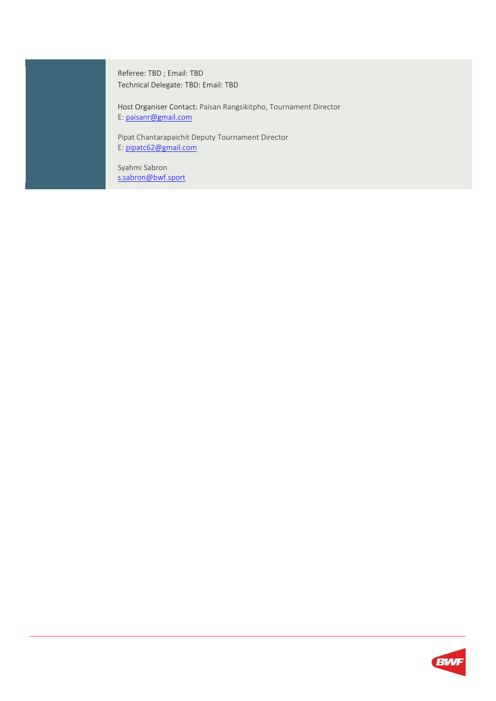Referee: TBD ; Email: TBD Technical Delegate: TBD: Email: TBD

Host Organiser Contact: Paisan Rangsikitpho, Tournament Director E: [paisanr@gmail.com](mailto:paisanr@gmail.com)

Pipat Chantarapaichit Deputy Tournament Director E: [pipatc62@gmail.com](mailto:pipatc62@gmail.com)

Syahmi Sabron [s.sabron@bwf.sport](mailto:s.sabron@bwf.sport)

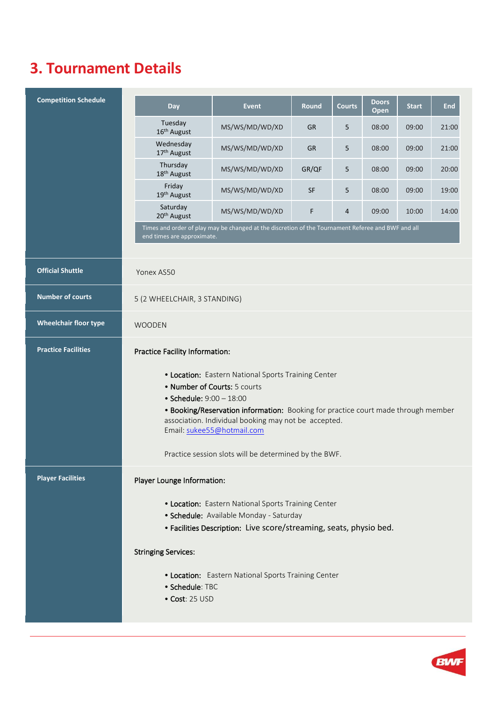#### **3. Tournament Details**

| <b>Competition Schedule</b>  | <b>Day</b>                                                                                                                                                                                                                                                                                                                                          | <b>Event</b>                                                                                       | <b>Round</b> | <b>Courts</b> | <b>Doors</b><br>Open | <b>Start</b> | <b>End</b> |
|------------------------------|-----------------------------------------------------------------------------------------------------------------------------------------------------------------------------------------------------------------------------------------------------------------------------------------------------------------------------------------------------|----------------------------------------------------------------------------------------------------|--------------|---------------|----------------------|--------------|------------|
|                              | Tuesday<br>16th August                                                                                                                                                                                                                                                                                                                              | MS/WS/MD/WD/XD                                                                                     | <b>GR</b>    | 5             | 08:00                | 09:00        | 21:00      |
|                              | Wednesday<br>17th August                                                                                                                                                                                                                                                                                                                            | MS/WS/MD/WD/XD                                                                                     | <b>GR</b>    | 5             | 08:00                | 09:00        | 21:00      |
|                              | Thursday<br>18 <sup>th</sup> August                                                                                                                                                                                                                                                                                                                 | MS/WS/MD/WD/XD                                                                                     | GR/QF        | 5             | 08:00                | 09:00        | 20:00      |
|                              | Friday<br>19th August                                                                                                                                                                                                                                                                                                                               | MS/WS/MD/WD/XD                                                                                     | <b>SF</b>    | 5             | 08:00                | 09:00        | 19:00      |
|                              | Saturday<br>20 <sup>th</sup> August                                                                                                                                                                                                                                                                                                                 | MS/WS/MD/WD/XD                                                                                     | F            | 4             | 09:00                | 10:00        | 14:00      |
|                              | end times are approximate.                                                                                                                                                                                                                                                                                                                          | Times and order of play may be changed at the discretion of the Tournament Referee and BWF and all |              |               |                      |              |            |
|                              |                                                                                                                                                                                                                                                                                                                                                     |                                                                                                    |              |               |                      |              |            |
| <b>Official Shuttle</b>      | Yonex AS50                                                                                                                                                                                                                                                                                                                                          |                                                                                                    |              |               |                      |              |            |
| <b>Number of courts</b>      | 5 (2 WHEELCHAIR, 3 STANDING)                                                                                                                                                                                                                                                                                                                        |                                                                                                    |              |               |                      |              |            |
| <b>Wheelchair floor type</b> | <b>WOODEN</b>                                                                                                                                                                                                                                                                                                                                       |                                                                                                    |              |               |                      |              |            |
| <b>Practice Facilities</b>   | <b>Practice Facility Information:</b>                                                                                                                                                                                                                                                                                                               |                                                                                                    |              |               |                      |              |            |
|                              | • Location: Eastern National Sports Training Center<br>• Number of Courts: 5 courts<br>• Schedule: 9:00 - 18:00<br>• Booking/Reservation information: Booking for practice court made through member<br>association. Individual booking may not be accepted.<br>Email: sukee55@hotmail.com<br>Practice session slots will be determined by the BWF. |                                                                                                    |              |               |                      |              |            |
| <b>Player Facilities</b>     | Player Lounge Information:                                                                                                                                                                                                                                                                                                                          |                                                                                                    |              |               |                      |              |            |
|                              | • Location: Eastern National Sports Training Center<br>· Schedule: Available Monday - Saturday<br>· Facilities Description: Live score/streaming, seats, physio bed.                                                                                                                                                                                |                                                                                                    |              |               |                      |              |            |
|                              | <b>Stringing Services:</b>                                                                                                                                                                                                                                                                                                                          |                                                                                                    |              |               |                      |              |            |
|                              | • Schedule: TBC<br>• Cost: 25 USD                                                                                                                                                                                                                                                                                                                   | • Location: Eastern National Sports Training Center                                                |              |               |                      |              |            |

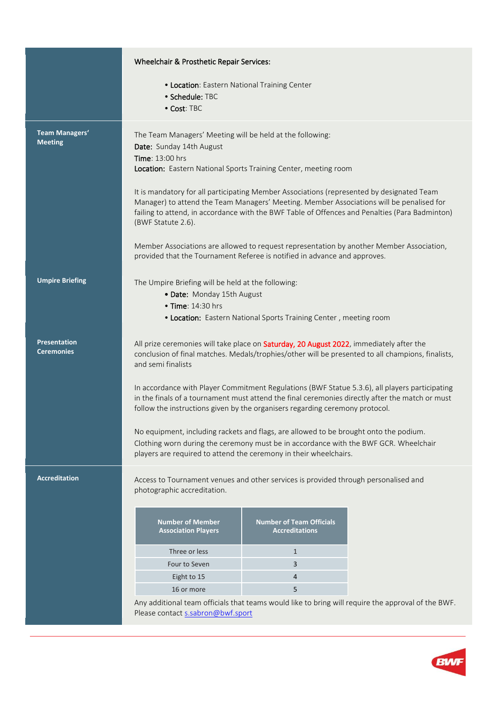|                                          | Wheelchair & Prosthetic Repair Services:                                                                                                                                                                                                                                                                      |                                                                   |                                                                                                    |  |  |
|------------------------------------------|---------------------------------------------------------------------------------------------------------------------------------------------------------------------------------------------------------------------------------------------------------------------------------------------------------------|-------------------------------------------------------------------|----------------------------------------------------------------------------------------------------|--|--|
|                                          | • Location: Eastern National Training Center                                                                                                                                                                                                                                                                  |                                                                   |                                                                                                    |  |  |
|                                          | • Schedule: TBC                                                                                                                                                                                                                                                                                               |                                                                   |                                                                                                    |  |  |
|                                          | • Cost: TBC                                                                                                                                                                                                                                                                                                   |                                                                   |                                                                                                    |  |  |
|                                          |                                                                                                                                                                                                                                                                                                               |                                                                   |                                                                                                    |  |  |
| Team Managers'                           | The Team Managers' Meeting will be held at the following:                                                                                                                                                                                                                                                     |                                                                   |                                                                                                    |  |  |
| <b>Meeting</b>                           | Date: Sunday 14th August                                                                                                                                                                                                                                                                                      |                                                                   |                                                                                                    |  |  |
|                                          | <b>Time: 13:00 hrs</b>                                                                                                                                                                                                                                                                                        |                                                                   |                                                                                                    |  |  |
|                                          | Location: Eastern National Sports Training Center, meeting room                                                                                                                                                                                                                                               |                                                                   |                                                                                                    |  |  |
|                                          | It is mandatory for all participating Member Associations (represented by designated Team<br>Manager) to attend the Team Managers' Meeting. Member Associations will be penalised for<br>failing to attend, in accordance with the BWF Table of Offences and Penalties (Para Badminton)<br>(BWF Statute 2.6). |                                                                   |                                                                                                    |  |  |
|                                          | Member Associations are allowed to request representation by another Member Association,<br>provided that the Tournament Referee is notified in advance and approves.                                                                                                                                         |                                                                   |                                                                                                    |  |  |
| <b>Umpire Briefing</b>                   | The Umpire Briefing will be held at the following:                                                                                                                                                                                                                                                            |                                                                   |                                                                                                    |  |  |
|                                          | • Date: Monday 15th August                                                                                                                                                                                                                                                                                    |                                                                   |                                                                                                    |  |  |
|                                          | • Time: 14:30 hrs                                                                                                                                                                                                                                                                                             |                                                                   |                                                                                                    |  |  |
|                                          |                                                                                                                                                                                                                                                                                                               | • Location: Eastern National Sports Training Center, meeting room |                                                                                                    |  |  |
|                                          |                                                                                                                                                                                                                                                                                                               |                                                                   |                                                                                                    |  |  |
| <b>Presentation</b><br><b>Ceremonies</b> | All prize ceremonies will take place on Saturday, 20 August 2022, immediately after the<br>conclusion of final matches. Medals/trophies/other will be presented to all champions, finalists,<br>and semi finalists                                                                                            |                                                                   |                                                                                                    |  |  |
|                                          | In accordance with Player Commitment Regulations (BWF Statue 5.3.6), all players participating<br>in the finals of a tournament must attend the final ceremonies directly after the match or must<br>follow the instructions given by the organisers regarding ceremony protocol.                             |                                                                   |                                                                                                    |  |  |
|                                          | No equipment, including rackets and flags, are allowed to be brought onto the podium.<br>Clothing worn during the ceremony must be in accordance with the BWF GCR. Wheelchair<br>players are required to attend the ceremony in their wheelchairs.                                                            |                                                                   |                                                                                                    |  |  |
| <b>Accreditation</b>                     | Access to Tournament venues and other services is provided through personalised and<br>photographic accreditation.                                                                                                                                                                                            |                                                                   |                                                                                                    |  |  |
|                                          | <b>Number of Member</b><br><b>Association Players</b>                                                                                                                                                                                                                                                         | <b>Number of Team Officials</b><br><b>Accreditations</b>          |                                                                                                    |  |  |
|                                          | Three or less                                                                                                                                                                                                                                                                                                 | $\mathbf{1}$                                                      |                                                                                                    |  |  |
|                                          | Four to Seven                                                                                                                                                                                                                                                                                                 | 3                                                                 |                                                                                                    |  |  |
|                                          | Eight to 15                                                                                                                                                                                                                                                                                                   | 4                                                                 |                                                                                                    |  |  |
|                                          | 16 or more                                                                                                                                                                                                                                                                                                    | 5                                                                 |                                                                                                    |  |  |
|                                          |                                                                                                                                                                                                                                                                                                               |                                                                   | Any additional team officials that teams would like to bring will require the approval of the BWF. |  |  |
|                                          | Please contact s.sabron@bwf.sport                                                                                                                                                                                                                                                                             |                                                                   |                                                                                                    |  |  |

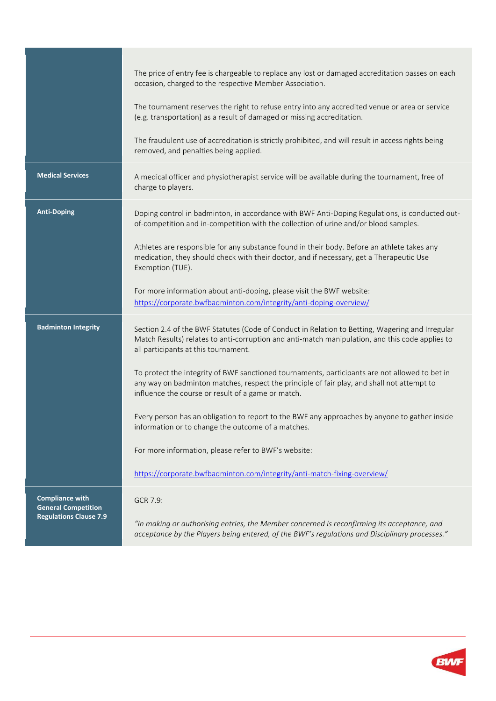|                                                      | The price of entry fee is chargeable to replace any lost or damaged accreditation passes on each<br>occasion, charged to the respective Member Association.                                                                                        |
|------------------------------------------------------|----------------------------------------------------------------------------------------------------------------------------------------------------------------------------------------------------------------------------------------------------|
|                                                      | The tournament reserves the right to refuse entry into any accredited venue or area or service<br>(e.g. transportation) as a result of damaged or missing accreditation.                                                                           |
|                                                      | The fraudulent use of accreditation is strictly prohibited, and will result in access rights being<br>removed, and penalties being applied.                                                                                                        |
| <b>Medical Services</b>                              | A medical officer and physiotherapist service will be available during the tournament, free of<br>charge to players.                                                                                                                               |
| <b>Anti-Doping</b>                                   | Doping control in badminton, in accordance with BWF Anti-Doping Regulations, is conducted out-<br>of-competition and in-competition with the collection of urine and/or blood samples.                                                             |
|                                                      | Athletes are responsible for any substance found in their body. Before an athlete takes any<br>medication, they should check with their doctor, and if necessary, get a Therapeutic Use<br>Exemption (TUE).                                        |
|                                                      | For more information about anti-doping, please visit the BWF website:<br>https://corporate.bwfbadminton.com/integrity/anti-doping-overview/                                                                                                        |
| <b>Badminton Integrity</b>                           | Section 2.4 of the BWF Statutes (Code of Conduct in Relation to Betting, Wagering and Irregular<br>Match Results) relates to anti-corruption and anti-match manipulation, and this code applies to<br>all participants at this tournament.         |
|                                                      | To protect the integrity of BWF sanctioned tournaments, participants are not allowed to bet in<br>any way on badminton matches, respect the principle of fair play, and shall not attempt to<br>influence the course or result of a game or match. |
|                                                      | Every person has an obligation to report to the BWF any approaches by anyone to gather inside<br>information or to change the outcome of a matches.                                                                                                |
|                                                      | For more information, please refer to BWF's website:                                                                                                                                                                                               |
|                                                      | https://corporate.bwfbadminton.com/integrity/anti-match-fixing-overview/                                                                                                                                                                           |
| <b>Compliance with</b><br><b>General Competition</b> | GCR 7.9:                                                                                                                                                                                                                                           |
| <b>Regulations Clause 7.9</b>                        | "In making or authorising entries, the Member concerned is reconfirming its acceptance, and<br>acceptance by the Players being entered, of the BWF's regulations and Disciplinary processes."                                                      |

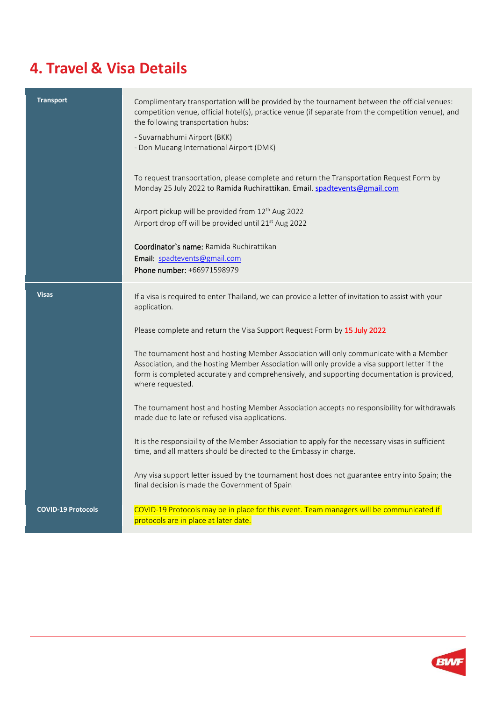## **4. Travel & Visa Details**

| <b>Transport</b>          | Complimentary transportation will be provided by the tournament between the official venues:<br>competition venue, official hotel(s), practice venue (if separate from the competition venue), and<br>the following transportation hubs:<br>- Suvarnabhumi Airport (BKK)<br>- Don Mueang International Airport (DMK) |
|---------------------------|----------------------------------------------------------------------------------------------------------------------------------------------------------------------------------------------------------------------------------------------------------------------------------------------------------------------|
|                           | To request transportation, please complete and return the Transportation Request Form by<br>Monday 25 July 2022 to Ramida Ruchirattikan. Email. spadtevents@gmail.com                                                                                                                                                |
|                           | Airport pickup will be provided from 12 <sup>th</sup> Aug 2022<br>Airport drop off will be provided until 21st Aug 2022                                                                                                                                                                                              |
|                           | Coordinator's name: Ramida Ruchirattikan<br>Email: spadtevents@gmail.com<br>Phone number: +66971598979                                                                                                                                                                                                               |
|                           |                                                                                                                                                                                                                                                                                                                      |
| <b>Visas</b>              | If a visa is required to enter Thailand, we can provide a letter of invitation to assist with your<br>application.                                                                                                                                                                                                   |
|                           | Please complete and return the Visa Support Request Form by 15 July 2022                                                                                                                                                                                                                                             |
|                           | The tournament host and hosting Member Association will only communicate with a Member<br>Association, and the hosting Member Association will only provide a visa support letter if the<br>form is completed accurately and comprehensively, and supporting documentation is provided,<br>where requested.          |
|                           | The tournament host and hosting Member Association accepts no responsibility for withdrawals<br>made due to late or refused visa applications.                                                                                                                                                                       |
|                           | It is the responsibility of the Member Association to apply for the necessary visas in sufficient<br>time, and all matters should be directed to the Embassy in charge.                                                                                                                                              |
|                           | Any visa support letter issued by the tournament host does not guarantee entry into Spain; the<br>final decision is made the Government of Spain                                                                                                                                                                     |
| <b>COVID-19 Protocols</b> | COVID-19 Protocols may be in place for this event. Team managers will be communicated if<br>protocols are in place at later date.                                                                                                                                                                                    |

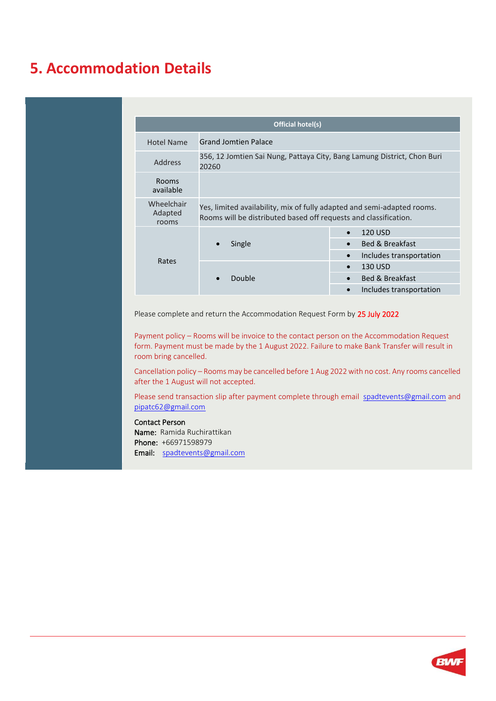#### **5. Accommodation Details**

| Official hotel(s)              |                                                                                                                                             |                                                                                                         |  |  |
|--------------------------------|---------------------------------------------------------------------------------------------------------------------------------------------|---------------------------------------------------------------------------------------------------------|--|--|
| Hotel Name                     | <b>Grand Jomtien Palace</b>                                                                                                                 |                                                                                                         |  |  |
| Address                        | 356, 12 Jomtien Sai Nung, Pattaya City, Bang Lamung District, Chon Buri<br>20260                                                            |                                                                                                         |  |  |
| <b>Rooms</b><br>available      |                                                                                                                                             |                                                                                                         |  |  |
| Wheelchair<br>Adapted<br>rooms | Yes, limited availability, mix of fully adapted and semi-adapted rooms.<br>Rooms will be distributed based off requests and classification. |                                                                                                         |  |  |
| Rates                          | Single<br>$\bullet$                                                                                                                         | 120 USD<br>$\bullet$<br><b>Bed &amp; Breakfast</b><br>$\bullet$<br>Includes transportation<br>$\bullet$ |  |  |
|                                | Double                                                                                                                                      | 130 USD<br>$\bullet$<br><b>Bed &amp; Breakfast</b><br>$\bullet$<br>Includes transportation<br>$\bullet$ |  |  |

Please complete and return the Accommodation Request Form by 25 July 2022

Payment policy – Rooms will be invoice to the contact person on the Accommodation Request form. Payment must be made by the 1 August 2022. Failure to make Bank Transfer will result in room bring cancelled.

Cancellation policy – Rooms may be cancelled before 1 Aug 2022 with no cost. Any rooms cancelled after the 1 August will not accepted.

Please send transaction slip after payment complete through email [spadtevents@gmail.com](mailto:spadtevents@gmail.com) and [pipatc62@gmail.com](mailto:pipatc62@gmail.com)

#### Contact Person

Name: Ramida Ruchirattikan Phone: +66971598979 Email: [spadtevents@gmail.com](mailto:spadtevents@gmail.com)